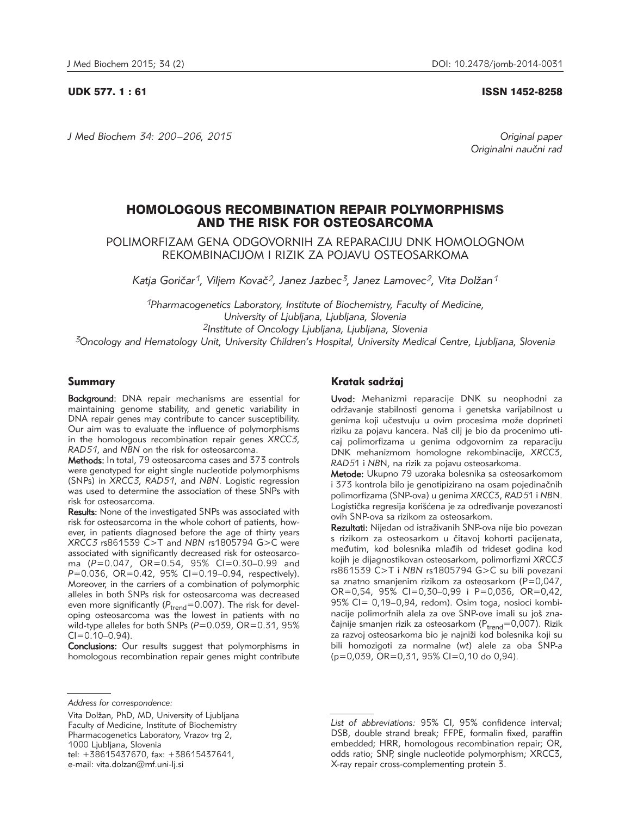UDK 577. 1 : 61 ISSN 1452-8258

*J Med Biochem 34: 200 –206, 2015 Original paper*

Originalni naučni rad

# HOMOLOGOUS RECOMBINATION REPAIR POLYMORPHISMS AND THE RISK FOR OSTEOSARCOMA

POLIMORFIZAM GENA ODGOVORNIH ZA REPARACIJU DNK HOMOLOGNOM REKOMBINACIJOM I RIZIK ZA POJAVU OSTEOSARKOMA

Katja Goričar<sup>1</sup>, Viljem Kovač<sup>2</sup>, Janez Jazbec<sup>3</sup>, Janez Lamovec<sup>2</sup>, Vita Dolžan<sup>1</sup>

*1Pharmacogenetics Laboratory, Institute of Biochemistry, Faculty of Medicine, University of Ljubljana, Ljubljana, Slovenia 2Institute of Oncology Ljubljana, Ljubljana, Slovenia 3Oncology and Hematology Unit, University Children's Hospital, University Medical Centre, Ljubljana, Slovenia*

## Summary

Background: DNA repair mechanisms are essential for maintaining genome stability, and genetic variability in DNA repair genes may contribute to cancer susceptibility. Our aim was to evaluate the influence of polymorphisms in the homologous recombination repair genes *XRCC3*, *RAD51*, and *NBN* on the risk for osteosarcoma.

Methods: In total, 79 osteosarcoma cases and 373 controls were genotyped for eight single nucleotide polymorphisms (SNPs) in *XRCC3*, *RAD51*, and *NBN*. Logistic regression was used to determine the association of these SNPs with risk for osteosarcoma.

Results: None of the investigated SNPs was associated with risk for osteosarcoma in the whole cohort of patients, however, in patients diagnosed before the age of thirty years *XRCC3* rs861539 C>T and *NBN* rs1805794 G>C were associated with significantly decreased risk for osteosarcoma (*P*=0.047, OR=0.54, 95% CI=0.30–0.99 and *P*=0.036, OR=0.42, 95% CI=0.19–0.94, respectively). Moreover, in the carriers of a combination of polymorphic alleles in both SNPs risk for osteosarcoma was decreased even more significantly (P<sub>trend</sub>=0.007). The risk for developing osteosarcoma was the lowest in patients with no wild-type alleles for both SNPs (*P*=0.039, OR=0.31, 95%  $Cl = 0.10 - 0.94$ ).

Conclusions: Our results suggest that polymorphisms in homologous recombination repair genes might contribute

Vita Dolžan, PhD, MD, University of Ljubljana Faculty of Medicine, Institute of Biochemistry Pharmacogenetics Laboratory, Vrazov trg 2, 1000 Ljubljana, Slovenia tel: +38615437670, fax: +38615437641, e-mail: vita.dolzan@mf.uni-lj.si

# Kratak sadržaj

Uvod: Mehanizmi reparacije DNK su neophodni za održavanje stabilnosti genoma i genetska varijabilnost u genima koji učestvuju u ovim procesima može doprineti riziku za pojavu kancera. Naš cilj je bio da procenimo uticaj polimorfizama u genima odgovornim za reparaciju DNK mehanizmom homologne rekombinacije, *XRCC*3, *RAD5*1 i *NB*N, na rizik za pojavu osteosarkoma.

Metode: Ukupno 79 uzoraka bolesnika sa osteosarkomom i 373 kontrola bilo je genotipizirano na osam pojedinačnih polimorfizama (SNP-ova) u genima *XRCC*3, *RAD5*1 i *NB*N. Logistička regresija korišćena je za određivanje povezanosti ovih SNP-ova sa rizikom za osteosarkom.

Rezultati: Nijedan od istraživanih SNP-ova nije bio povezan s rizikom za osteosarkom u čitavoj kohorti pacijenata, međutim, kod bolesnika mlađih od trideset godina kod kojih je di jagnostikovan osteosarkom, polimorfizmi *XRCC3* rs861539 C>T i *NBN* rs1805794 G>C su bili povezani sa znatno smanjenim rizikom za osteosarkom (P=0,047, OR=0,54, 95% CI=0,30–0,99 i P=0,036, OR=0,42, 95% CI= 0,19–0,94, redom). Osim toga, nosioci kombinacije polimorfnih alela za ove SNP-ove imali su još značajnije smanjen rizik za osteosarkom (P<sub>trend</sub>=0,007). Rizik za razvoj osteosarkoma bio je najniži kod bolesnika koji su bili homozigoti za normalne (*wt*) alele za oba SNP-a (p=0,039, OR=0,31, 95% CI=0,10 do 0,94).

*Address for correspondence:* 

*List of abbreviations:* 95% CI, 95% confidence interval; DSB, double strand break; FFPE, formalin fixed, paraffin embedded; HRR, homologous recombination repair; OR, odds ratio; SNP, single nucleotide polymorphism; XRCC3, X-ray repair cross-complementing protein 3.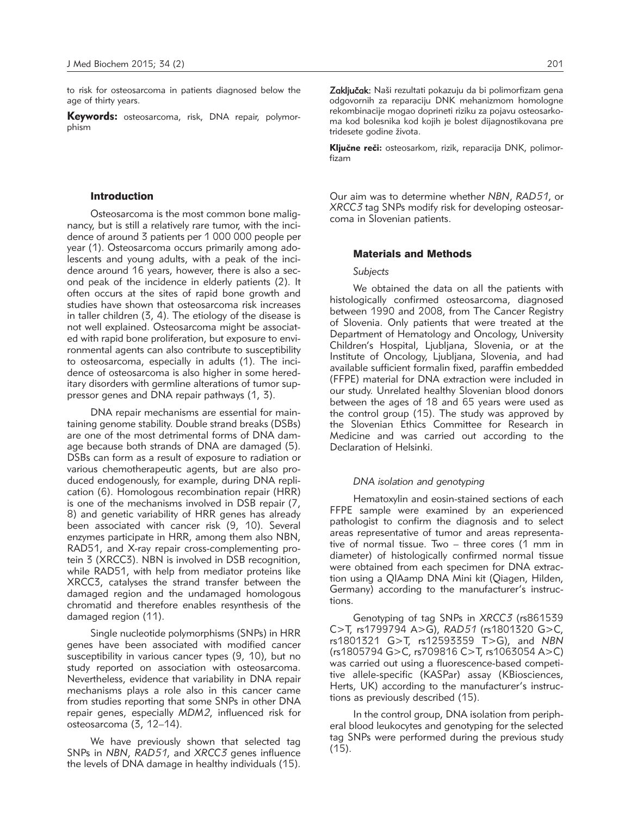to risk for osteosarcoma in patients diagnosed below the age of thirty years.

Keywords: osteosarcoma, risk, DNA repair, polymorphism

#### Introduction

Osteosarcoma is the most common bone malignancy, but is still a relatively rare tumor, with the incidence of around 3 patients per 1 000 000 people per year (1). Osteosarcoma occurs primarily among adolescents and young adults, with a peak of the incidence around 16 years, however, there is also a second peak of the incidence in elderly patients (2). It often occurs at the sites of rapid bone growth and studies have shown that osteosarcoma risk increases in taller children (3, 4). The etiology of the disease is not well explained. Osteosarcoma might be associated with rapid bone proliferation, but exposure to environmental agents can also contribute to susceptibility to osteosarcoma, especially in adults (1). The incidence of osteosarcoma is also higher in some hereditary disorders with germline alterations of tumor suppressor genes and DNA repair pathways (1, 3).

DNA repair mechanisms are essential for maintaining genome stability. Double strand breaks (DSBs) are one of the most detrimental forms of DNA damage because both strands of DNA are damaged (5). DSBs can form as a result of exposure to radiation or various chemotherapeutic agents, but are also produced endogenously, for example, during DNA replication (6). Homologous recombination repair (HRR) is one of the mechanisms involved in DSB repair (7, 8) and genetic variability of HRR genes has already been associated with cancer risk (9, 10). Several enzymes participate in HRR, among them also NBN, RAD51, and X-ray repair cross-complementing protein 3 (XRCC3). NBN is involved in DSB recognition, while RAD51, with help from mediator proteins like XRCC3, catalyses the strand transfer between the damaged region and the undamaged homologous chromatid and therefore enables resynthesis of the damaged region (11).

Single nucleotide polymorphisms (SNPs) in HRR genes have been associated with modified cancer susceptibility in various cancer types (9, 10), but no study reported on association with osteosarcoma. Nevertheless, evidence that variability in DNA repair mechanisms plays a role also in this cancer came from studies reporting that some SNPs in other DNA repair genes, especially *MDM2*, influenced risk for osteosarcoma (3, 12–14).

We have previously shown that selected tag SNPs in *NBN*, *RAD51*, and *XRCC3* genes influence the levels of DNA damage in healthy individuals (15).

Zaključak: Naši rezultati pokazuju da bi polimorfizam gena odgovornih za reparaciju DNK mehanizmom homologne rekombinacije mogao doprineti riziku za pojavu osteosarkoma kod bolesnika kod kojih je bolest dijagnostikovana pre tridesete godine života.

Ključne reči: osteosarkom, rizik, reparacija DNK, polimorfizam

Our aim was to determine whether *NBN*, *RAD51*, or *XRCC3* tag SNPs modify risk for developing osteosarcoma in Slovenian patients.

## Materials and Methods

#### *Subjects*

We obtained the data on all the patients with histologically confirmed osteosarcoma, diagnosed between 1990 and 2008, from The Cancer Registry of Slovenia. Only patients that were treated at the Department of Hematology and Oncology, University Children's Hospital, Ljubljana, Slovenia, or at the Institute of Oncology, Ljubljana, Slovenia, and had available sufficient formalin fixed, paraffin embedded (FFPE) material for DNA extraction were included in our study. Unrelated healthy Slovenian blood donors between the ages of 18 and 65 years were used as the control group (15). The study was approved by the Slovenian Ethics Committee for Research in Medicine and was carried out according to the Declaration of Helsinki.

## *DNA isolation and genotyping*

Hematoxylin and eosin-stained sections of each FFPE sample were examined by an experienced pathologist to confirm the diagnosis and to select areas representative of tumor and areas representative of normal tissue. Two – three cores (1 mm in diameter) of histologically confirmed normal tissue were obtained from each specimen for DNA extraction using a QIAamp DNA Mini kit (Qiagen, Hilden, Germany) according to the manufacturer's instructions.

Genotyping of tag SNPs in *XRCC3* (rs861539 C>T, rs1799794 A>G), *RAD51* (rs1801320 G>C, rs1801321 G>T, rs12593359 T>G), and *NBN* (rs1805794 G>C, rs709816 C>T, rs1063054 A>C) was carried out using a fluorescence-based competitive allele-specific (KASPar) assay (KBiosciences, Herts, UK) according to the manufacturer's instructions as previously described (15).

In the control group, DNA isolation from peripheral blood leukocytes and genotyping for the selected tag SNPs were performed during the previous study (15).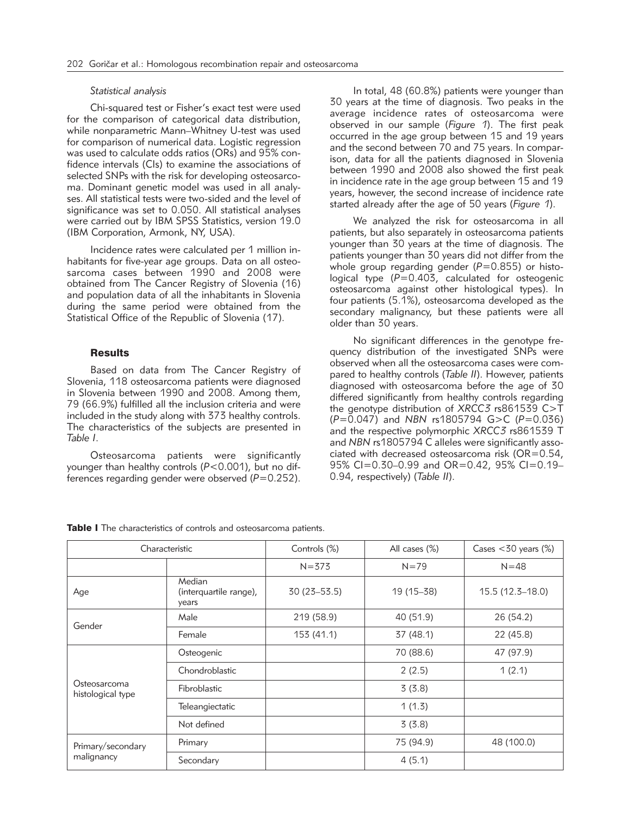#### *Statistical analysis*

Chi-squared test or Fisher's exact test were used for the comparison of categorical data distribution, while nonparametric Mann–Whitney U-test was used for comparison of numerical data. Logistic regression was used to calculate odds ratios (ORs) and 95% confidence intervals (CIs) to examine the associations of selected SNPs with the risk for developing osteosarcoma. Dominant genetic model was used in all analyses. All statistical tests were two-sided and the level of significance was set to 0.050. All statistical analyses were carried out by IBM SPSS Statistics, version 19.0 (IBM Corporation, Armonk, NY, USA).

Incidence rates were calculated per 1 million inhabitants for five-year age groups. Data on all osteosarcoma cases between 1990 and 2008 were obtained from The Cancer Registry of Slovenia (16) and population data of all the inhabitants in Slovenia during the same period were obtained from the Statistical Office of the Republic of Slovenia (17).

#### **Results**

Based on data from The Cancer Registry of Slovenia, 118 osteosarcoma patients were diagnosed in Slovenia between 1990 and 2008. Among them, 79 (66.9%) fulfilled all the inclusion criteria and were included in the study along with 373 healthy controls. The characteristics of the subjects are presented in *Table I*.

Osteosarcoma patients were significantly younger than healthy controls (*P*<0.001), but no differences regarding gender were observed ( $P=0.252$ ).

In total, 48 (60.8%) patients were younger than 30 years at the time of diagnosis. Two peaks in the average incidence rates of osteosarcoma were observed in our sample (*Figure 1*). The first peak occurred in the age group between 15 and 19 years and the second between 70 and 75 years. In comparison, data for all the patients diagnosed in Slovenia between 1990 and 2008 also showed the first peak in incidence rate in the age group between 15 and 19 years, however, the second increase of incidence rate started already after the age of 50 years (*Figure 1*).

We analyzed the risk for osteosarcoma in all patients, but also separately in osteosarcoma patients younger than 30 years at the time of diagnosis. The patients younger than 30 years did not differ from the whole group regarding gender (P=0.855) or histological type (P=0.403, calculated for osteogenic osteosarcoma against other histological types). In four patients (5.1%), osteosarcoma developed as the secondary malignancy, but these patients were all older than 30 years.

No significant differences in the genotype frequency distribution of the investigated SNPs were observed when all the osteosarcoma cases were compared to healthy controls (*Table II*). However, patients diagnosed with osteosarcoma before the age of 30 differed significantly from healthy controls regarding the genotype distribution of *XRCC3* rs861539 C>T (*P*=0.047) and *NBN* rs1805794 G>C (*P*=0.036) and the respective polymorphic *XRCC3* rs861539 T and *NBN* rs1805794 C alleles were significantly associated with decreased osteosarcoma risk ( $OR=0.54$ , 95% CI=0.30–0.99 and OR=0.42, 95% CI=0.19– 0.94, respectively) (*Table II*).

| Characteristic                    |                                           | Controls (%)    | All cases $(\%)$ | Cases $<$ 30 years (%) |  |
|-----------------------------------|-------------------------------------------|-----------------|------------------|------------------------|--|
|                                   |                                           | $N = 373$       | $N = 79$         | $N = 48$               |  |
| Age                               | Median<br>(interquartile range),<br>years | $30(23 - 53.5)$ | 19 (15-38)       | 15.5 (12.3-18.0)       |  |
| Gender                            | Male                                      | 219 (58.9)      | 40 (51.9)        | 26 (54.2)              |  |
|                                   | Female                                    | 153(41.1)       | 37 (48.1)        | 22 (45.8)              |  |
| Osteosarcoma<br>histological type | Osteogenic                                |                 | 70 (88.6)        | 47 (97.9)              |  |
|                                   | Chondroblastic                            |                 | 2(2.5)           | 1(2.1)                 |  |
|                                   | Fibroblastic                              |                 | 3(3.8)           |                        |  |
|                                   | Teleangiectatic                           |                 | 1(1.3)           |                        |  |
|                                   | Not defined                               |                 | 3(3.8)           |                        |  |
| Primary/secondary<br>malignancy   | Primary                                   |                 | 75 (94.9)        | 48 (100.0)             |  |
|                                   | Secondary                                 |                 | 4(5.1)           |                        |  |

Table I The characteristics of controls and osteosarcoma patients.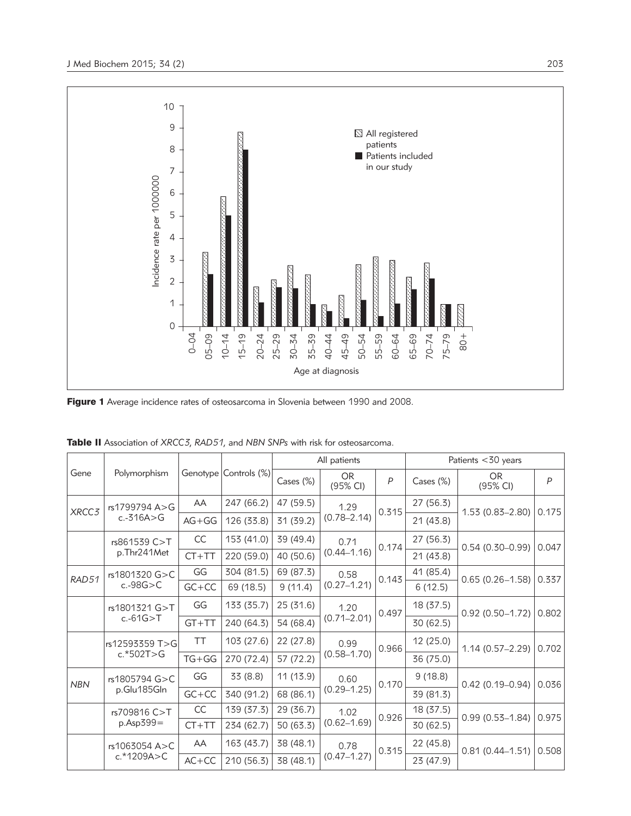

Figure 1 Average incidence rates of osteosarcoma in Slovenia between 1990 and 2008.

| Gene       | Polymorphism                            | Genotype Controls (%) |            | All patients |                         |       | Patients $<$ 30 years |                     |       |
|------------|-----------------------------------------|-----------------------|------------|--------------|-------------------------|-------|-----------------------|---------------------|-------|
|            |                                         |                       |            | Cases $(\%)$ | OR.<br>(95% CI)         | P     | Cases (%)             | OR.<br>(95% CI)     | P     |
| XRCC3      | rs1799794 A>G<br>$c.-316A > G$          | AA                    | 247 (66.2) | 47 (59.5)    | 1.29<br>$(0.78 - 2.14)$ | 0.315 | 27 (56.3)             | $1.53(0.83 - 2.80)$ | 0.175 |
|            |                                         | $AG+GG$               | 126 (33.8) | 31 (39.2)    |                         |       | 21 (43.8)             |                     |       |
|            | rs861539 C>T<br>p.Thr241Met             | CC                    | 153 (41.0) | 39 (49.4)    | 0.71<br>$(0.44 - 1.16)$ | 0.174 | 27 (56.3)             | $0.54(0.30 - 0.99)$ | 0.047 |
|            |                                         | $CT+TT$               | 220 (59.0) | 40 (50.6)    |                         |       | 21(43.8)              |                     |       |
|            | rs1801320 G>C<br>RAD51<br>c.-98 $G > C$ | GG                    | 304 (81.5) | 69 (87.3)    | 0.58<br>$(0.27 - 1.21)$ | 0.143 | 41 (85.4)             | $0.65(0.26 - 1.58)$ | 0.337 |
|            |                                         | $GC+CC$               | 69 (18.5)  | 9(11.4)      |                         |       | 6(12.5)               |                     |       |
|            | rs1801321 G>T<br>$c.-61G > T$           | GG                    | 133 (35.7) | 25(31.6)     | 1.20<br>$(0.71 - 2.01)$ | 0.497 | 18 (37.5)             | $0.92(0.50 - 1.72)$ | 0.802 |
|            |                                         | $GT+TT$               | 240 (64.3) | 54 (68.4)    |                         |       | 30 (62.5)             |                     |       |
|            | rs12593359 T>G<br>$c.*502T>G$           | TT                    | 103(27.6)  | 22 (27.8)    | 0.99<br>$(0.58 - 1.70)$ | 0.966 | 12 (25.0)             | $1.14(0.57 - 2.29)$ | 0.702 |
|            |                                         | $TG+GG$               | 270 (72.4) | 57 (72.2)    |                         |       | 36 (75.0)             |                     |       |
| <b>NBN</b> | rs1805794 G>C                           | GG                    | 33 (8.8)   | 11(13.9)     | 0.60<br>$(0.29 - 1.25)$ | 0.170 | 9(18.8)               | $0.42(0.19 - 0.94)$ | 0.036 |
|            | p.Glu185Gln                             | $GC+CC$               | 340 (91.2) | 68 (86.1)    |                         |       | 39 (81.3)             |                     |       |
|            | rs709816 C>T<br>$p.Asp399=$             | CC                    | 139 (37.3) | 29 (36.7)    | 1.02<br>$(0.62 - 1.69)$ | 0.926 | 18 (37.5)             | $0.99(0.55 - 1.84)$ | 0.975 |
|            |                                         | $CT+TT$               | 234 (62.7) | 50 (63.3)    |                         |       | 30 (62.5)             |                     |       |
|            | rs1063054 A>C<br>$c.*1209A > C$         | AA.                   | 163 (43.7) | 38 (48.1)    | 0.78<br>$(0.47 - 1.27)$ | 0.315 | 22 (45.8)             | $0.81(0.44 - 1.51)$ | 0.508 |
|            |                                         | $AC+CC$               | 210 (56.3) | 38 (48.1)    |                         |       | 23 (47.9)             |                     |       |

Table II Association of *XRCC3*, *RAD51*, and *NBN SNPs* with risk for osteosarcoma.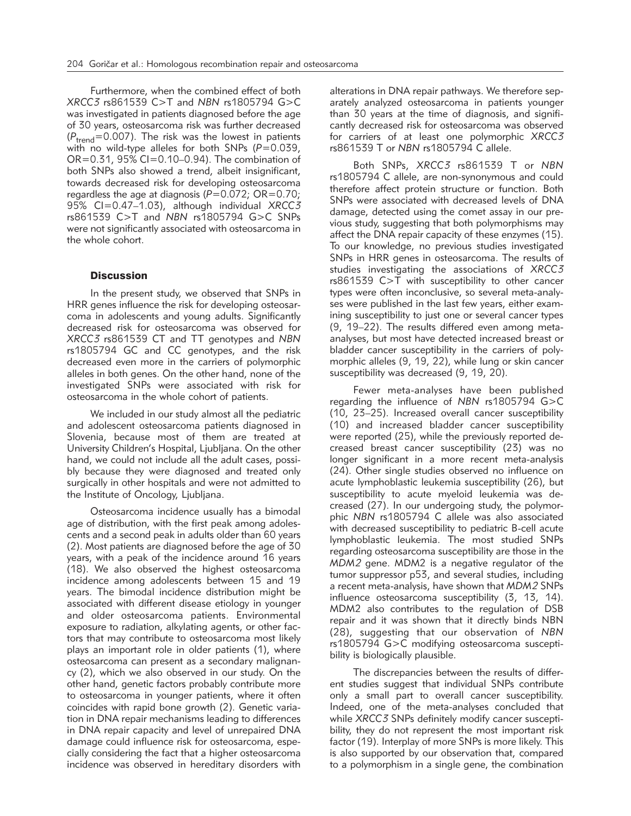Furthermore, when the combined effect of both *XRCC3* rs861539 C>T and *NBN* rs1805794 G>C was investigated in patients diagnosed before the age of 30 years, osteosarcoma risk was further decreased (P<sub>trend</sub>=0.007). The risk was the lowest in patients with no wild-type alleles for both SNPs (P=0.039, OR=0.31, 95% CI=0.10–0.94). The combination of both SNPs also showed a trend, albeit insignificant, towards decreased risk for developing osteosarcoma regardless the age at diagnosis (*P*=0.072; OR=0.70; 95% CI=0.47–1.03), although individual *XRCC3* rs861539 C>T and *NBN* rs1805794 G>C SNPs were not significantly associated with osteosarcoma in the whole cohort.

## **Discussion**

In the present study, we observed that SNPs in HRR genes influence the risk for developing osteosarcoma in adolescents and young adults. Significantly decreased risk for osteosarcoma was observed for *XRCC3* rs861539 CT and TT genotypes and *NBN* rs1805794 GC and CC genotypes, and the risk decreased even more in the carriers of polymorphic alleles in both genes. On the other hand, none of the investigated SNPs were associated with risk for osteosarcoma in the whole cohort of patients.

We included in our study almost all the pediatric and adolescent osteosarcoma patients diagnosed in Slovenia, because most of them are treated at University Children's Hospital, Ljubljana. On the other hand, we could not include all the adult cases, possibly because they were diagnosed and treated only surgically in other hospitals and were not admitted to the Institute of Oncology, Ljubljana.

Osteosarcoma incidence usually has a bimodal age of distribution, with the first peak among adolescents and a second peak in adults older than 60 years (2). Most patients are diagnosed before the age of 30 years, with a peak of the incidence around 16 years (18). We also observed the highest osteosarcoma incidence among adolescents between 15 and 19 years. The bimodal incidence distribution might be associated with different disease etiology in younger and older osteosarcoma patients. Environmental exposure to radiation, alkylating agents, or other factors that may contribute to osteosarcoma most likely plays an important role in older patients (1), where osteosarcoma can present as a secondary malignancy (2), which we also observed in our study. On the other hand, genetic factors probably contribute more to osteosarcoma in younger patients, where it often coincides with rapid bone growth (2). Genetic variation in DNA repair mechanisms leading to differences in DNA repair capacity and level of unrepaired DNA damage could influence risk for osteosarcoma, especially considering the fact that a higher osteosarcoma incidence was observed in hereditary disorders with

alterations in DNA repair pathways. We therefore separately analyzed osteosarcoma in patients younger than 30 years at the time of diagnosis, and significantly decreased risk for osteosarcoma was observed for carriers of at least one polymorphic *XRCC3* rs861539 T or *NBN* rs1805794 C allele.

Both SNPs, *XRCC3* rs861539 T or *NBN* rs1805794 C allele, are non-synonymous and could therefore affect protein structure or function. Both SNPs were associated with decreased levels of DNA damage, detected using the comet assay in our previous study, suggesting that both polymorphisms may affect the DNA repair capacity of these enzymes (15). To our knowledge, no previous studies investigated SNPs in HRR genes in osteosarcoma. The results of studies investigating the associations of *XRCC3* rs861539 C>T with susceptibility to other cancer types were often inconclusive, so several meta-analyses were published in the last few years, either examining susceptibility to just one or several cancer types (9, 19–22). The results differed even among metaanalyses, but most have detected increased breast or bladder cancer susceptibility in the carriers of polymorphic alleles (9, 19, 22), while lung or skin cancer susceptibility was decreased (9, 19, 20).

Fewer meta-analyses have been published regarding the influence of *NBN* rs1805794 G>C (10, 23–25). Increased overall cancer susceptibility (10) and increased bladder cancer susceptibility were reported (25), while the previously reported decreased breast cancer susceptibility (23) was no longer significant in a more recent meta-analysis (24). Other single studies observed no influence on acute lymphoblastic leukemia susceptibility (26), but susceptibility to acute myeloid leukemia was decreased (27). In our undergoing study, the polymorphic *NBN* rs1805794 C allele was also associated with decreased susceptibility to pediatric B-cell acute lymphoblastic leukemia. The most studied SNPs regarding osteosarcoma susceptibility are those in the *MDM2* gene. MDM2 is a negative regulator of the tumor suppressor p53, and several studies, including a recent meta-analysis, have shown that *MDM2* SNPs influence osteosarcoma susceptibility (3, 13, 14). MDM2 also contributes to the regulation of DSB repair and it was shown that it directly binds NBN (28), suggesting that our observation of *NBN* rs1805794 G>C modifying osteosarcoma susceptibility is biologically plausible.

The discrepancies between the results of different studies suggest that individual SNPs contribute only a small part to overall cancer susceptibility. Indeed, one of the meta-analyses concluded that while *XRCC3* SNPs definitely modify cancer susceptibility, they do not represent the most important risk factor (19). Interplay of more SNPs is more likely. This is also supported by our observation that, compared to a polymorphism in a single gene, the combination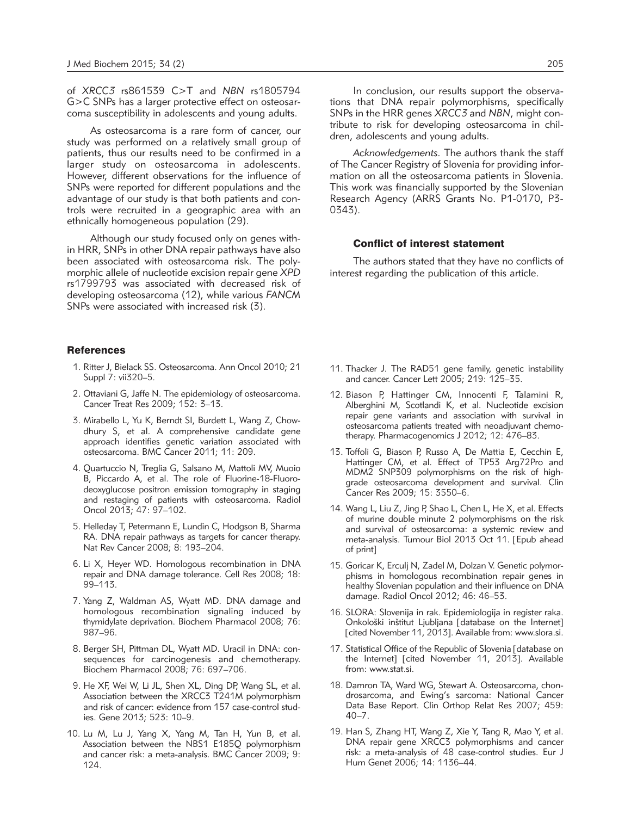of *XRCC3* rs861539 C>T and *NBN* rs1805794 G>C SNPs has a larger protective effect on osteosarcoma susceptibility in adolescents and young adults.

As osteosarcoma is a rare form of cancer, our study was performed on a relatively small group of patients, thus our results need to be confirmed in a larger study on osteosarcoma in adolescents. However, different observations for the influence of SNPs were reported for different populations and the advantage of our study is that both patients and controls were recruited in a geographic area with an ethnically homogeneous population (29).

Although our study focused only on genes within HRR, SNPs in other DNA repair pathways have also been associated with osteosarcoma risk. The polymorphic allele of nucleotide excision repair gene *XPD* rs1799793 was associated with decreased risk of developing osteosarcoma (12), while various *FANCM* SNPs were associated with increased risk (3).

#### **References**

- 1. Ritter J, Bielack SS. Osteosarcoma. Ann Oncol 2010; 21 Suppl 7: vii320–5.
- 2. Ottaviani G, Jaffe N. The epidemiology of osteosarcoma. Cancer Treat Res 2009; 152: 3–13.
- 3. Mirabello L, Yu K, Berndt SI, Burdett L, Wang Z, Chowdhury S, et al. A comprehensive candidate gene approach identifies genetic variation associated with osteosarcoma. BMC Cancer 2011; 11: 209.
- 4. Quartuccio N, Treglia G, Salsano M, Mattoli MV, Muoio B, Piccardo A, et al. The role of Fluorine-18-Fluorodeoxyglucose positron emission tomography in staging and restaging of patients with osteosarcoma. Radiol Oncol 2013; 47: 97–102.
- 5. Helleday T, Petermann E, Lundin C, Hodgson B, Sharma RA. DNA repair pathways as targets for cancer therapy. Nat Rev Cancer 2008; 8: 193–204.
- 6. Li X, Heyer WD. Homologous recombination in DNA repair and DNA damage tolerance. Cell Res 2008; 18: 99–113.
- 7. Yang Z, Waldman AS, Wyatt MD. DNA damage and homologous recombination signaling induced by thymidylate deprivation. Biochem Pharmacol 2008; 76: 987–96.
- 8. Berger SH, Pittman DL, Wyatt MD. Uracil in DNA: consequences for carcinogenesis and chemotherapy. Biochem Pharmacol 2008; 76: 697–706.
- 9. He XF, Wei W, Li JL, Shen XL, Ding DP, Wang SL, et al. Association between the XRCC3 T241M polymorphism and risk of cancer: evidence from 157 case-control studies. Gene 2013; 523: 10–9.
- 10. Lu M, Lu J, Yang X, Yang M, Tan H, Yun B, et al. Association between the NBS1 E185Q polymorphism and cancer risk: a meta-analysis. BMC Cancer 2009; 9: 124.

In conclusion, our results support the observations that DNA repair polymorphisms, specifically SNPs in the HRR genes *XRCC3* and *NBN*, might contribute to risk for developing osteosarcoma in children, adolescents and young adults.

*Acknowledgements.* The authors thank the staff of The Cancer Registry of Slovenia for providing information on all the osteosarcoma patients in Slovenia. This work was financially supported by the Slovenian Research Agency (ARRS Grants No. P1-0170, P3- 0343).

## Conflict of interest statement

The authors stated that they have no conflicts of interest regarding the publication of this article.

- 11. Thacker J. The RAD51 gene family, genetic instability and cancer. Cancer Lett 2005; 219: 125–35.
- 12. Biason P, Hattinger CM, Innocenti F, Talamini R, Alberghini M, Scotlandi K, et al. Nucleotide excision repair gene variants and association with survival in osteosarcoma patients treated with neoadjuvant chemotherapy. Pharmacogenomics J 2012; 12: 476–83.
- 13. Toffoli G, Biason P, Russo A, De Mattia E, Cecchin E, Hattinger CM, et al. Effect of TP53 Arg72Pro and MDM2 SNP309 polymorphisms on the risk of highgrade osteosarcoma development and survival. Clin Cancer Res 2009; 15: 3550–6.
- 14. Wang L, Liu Z, Jing P, Shao L, Chen L, He X, et al. Effects of murine double minute 2 polymorphisms on the risk and survival of osteosarcoma: a systemic review and meta-analysis. Tumour Biol 2013 Oct 11. [Epub ahead of print]
- 15. Goricar K, Erculj N, Zadel M, Dolzan V. Genetic polymorphisms in homologous recombination repair genes in healthy Slovenian population and their influence on DNA damage. Radiol Oncol 2012; 46: 46–53.
- 16. SLORA: Slovenija in rak. Epidemiologija in register raka. Onkološki inštitut Ljubljana [database on the Internet] [cited November 11, 2013]. Available from: www.slora.si.
- 17. Statistical Office of the Republic of Slovenia [database on the Internet] [cited November 11, 2013]. Available from: www.stat.si.
- 18. Damron TA, Ward WG, Stewart A. Osteosarcoma, chondrosarcoma, and Ewing's sarcoma: National Cancer Data Base Report. Clin Orthop Relat Res 2007; 459: 40–7.
- 19. Han S, Zhang HT, Wang Z, Xie Y, Tang R, Mao Y, et al. DNA repair gene XRCC3 polymorphisms and cancer risk: a meta-analysis of 48 case-control studies. Eur J Hum Genet 2006; 14: 1136–44.